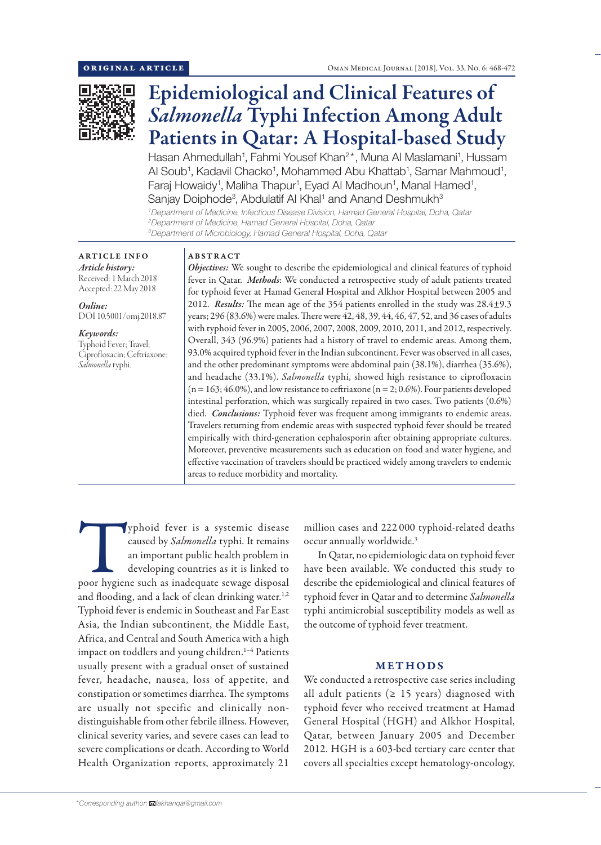

# Epidemiological and Clinical Features of *Salmonella* Typhi Infection Among Adult Patients in Qatar: A Hospital-based Study

Hasan Ahmedullah<sup>1</sup>, Fahmi Yousef Khan<sup>2\*</sup>, Muna Al Maslamani<sup>1</sup>, Hussam Al Soub<sup>1</sup>, Kadavil Chacko<sup>1</sup>, Mohammed Abu Khattab<sup>1</sup>, Samar Mahmoud<sup>1</sup>, Faraj Howaidy<sup>1</sup>, Maliha Thapur<sup>1</sup>, Eyad Al Madhoun<sup>1</sup>, Manal Hamed<sup>1</sup>, Sanjay Doiphode<sup>3</sup>, Abdulatif Al Khal<sup>1</sup> and Anand Deshmukh<sup>3</sup>

*1 Department of Medicine, Infectious Disease Division, Hamad General Hospital, Doha, Qatar 2 Department of Medicine, Hamad General Hospital, Doha, Qatar 3 Department of Microbiology, Hamad General Hospital, Doha, Qatar*

## ARTICLE INFO

*Article history:* Received: 1 March 2018 Accepted: 22 May 2018

*Online:* DOI 10.5001/omj.2018.87

*Keywords:*  Typhoid Fever; Travel; Ciprofloxacin; Ceftriaxone; *Salmonella* typhi.

## ABSTRACT

*Objectives:* We sought to describe the epidemiological and clinical features of typhoid fever in Qatar. *Methods*: We conducted a retrospective study of adult patients treated for typhoid fever at Hamad General Hospital and Alkhor Hospital between 2005 and 2012. *Results:* The mean age of the 354 patients enrolled in the study was 28.4±9.3 years; 296 (83.6%) were males. There were 42, 48, 39, 44, 46, 47, 52, and 36 cases of adults with typhoid fever in 2005, 2006, 2007, 2008, 2009, 2010, 2011, and 2012, respectively. Overall, 343 (96.9%) patients had a history of travel to endemic areas. Among them, 93.0% acquired typhoid fever in the Indian subcontinent. Fever was observed in all cases, and the other predominant symptoms were abdominal pain (38.1%), diarrhea (35.6%), and headache (33.1%). *Salmonella* typhi, showed high resistance to ciprofloxacin  $(n = 163; 46.0\%)$ , and low resistance to ceftriaxone  $(n = 2; 0.6\%)$ . Four patients developed intestinal perforation, which was surgically repaired in two cases. Two patients (0.6%) died. *Conclusions:* Typhoid fever was frequent among immigrants to endemic areas. Travelers returning from endemic areas with suspected typhoid fever should be treated empirically with third-generation cephalosporin after obtaining appropriate cultures. Moreover, preventive measurements such as education on food and water hygiene, and effective vaccination of travelers should be practiced widely among travelers to endemic areas to reduce morbidity and mortality.

Typhoid fever is a systemic disease<br>
caused by *Salmonella* typhi. It remains<br>
an important public health problem in<br>
developing countries as it is linked to<br>
poor hygiene such as inadequate sewage disposal caused by *Salmonella* typhi. It remains an important public health problem in developing countries as it is linked to and flooding, and a lack of clean drinking water.<sup>1,2</sup> Typhoid fever is endemic in Southeast and Far East Asia, the Indian subcontinent, the Middle East, Africa, and Central and South America with a high impact on toddlers and young children.<sup>1-4</sup> Patients usually present with a gradual onset of sustained fever, headache, nausea, loss of appetite, and constipation or sometimes diarrhea. The symptoms are usually not specific and clinically nondistinguishable from other febrile illness. However, clinical severity varies, and severe cases can lead to severe complications or death. According to World Health Organization reports, approximately 21

million cases and 222 000 typhoid-related deaths occur annually worldwide.3

In Qatar, no epidemiologic data on typhoid fever have been available. We conducted this study to describe the epidemiological and clinical features of typhoid fever in Qatar and to determine *Salmonella*  typhi antimicrobial susceptibility models as well as the outcome of typhoid fever treatment.

# METHODS

We conducted a retrospective case series including all adult patients ( $\geq$  15 years) diagnosed with typhoid fever who received treatment at Hamad General Hospital (HGH) and Alkhor Hospital, Qatar, between January 2005 and December 2012. HGH is a 603-bed tertiary care center that covers all specialties except hematology-oncology,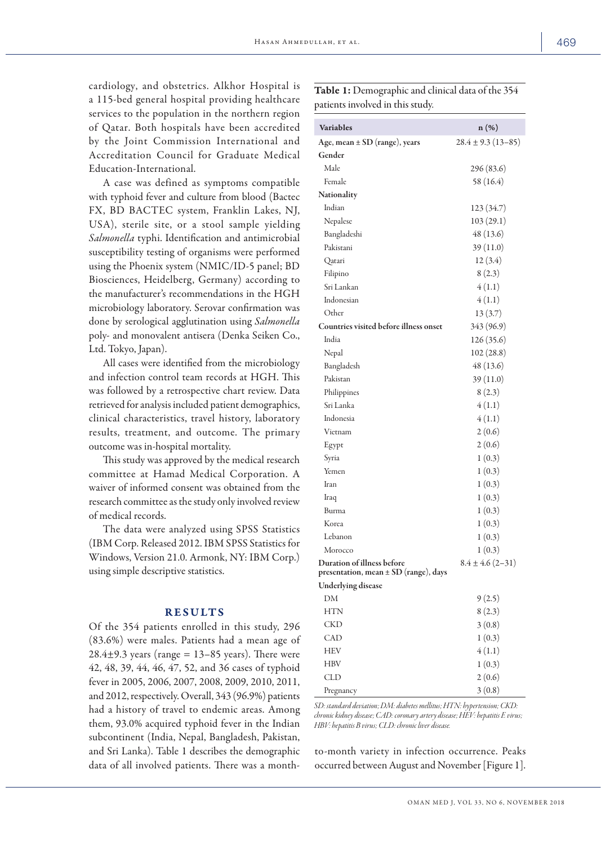cardiology, and obstetrics. Alkhor Hospital is a 115-bed general hospital providing healthcare services to the population in the northern region of Qatar. Both hospitals have been accredited by the Joint Commission International and Accreditation Council for Graduate Medical Education-International.

A case was defined as symptoms compatible with typhoid fever and culture from blood (Bactec FX, BD BACTEC system, Franklin Lakes, NJ, USA), sterile site, or a stool sample yielding *Salmonella* typhi. Identification and antimicrobial susceptibility testing of organisms were performed using the Phoenix system (NMIC/ID-5 panel; BD Biosciences, Heidelberg, Germany) according to the manufacturer's recommendations in the HGH microbiology laboratory. Serovar confirmation was done by serological agglutination using *Salmonella* poly- and monovalent antisera (Denka Seiken Co., Ltd. Tokyo, Japan).

All cases were identified from the microbiology and infection control team records at HGH. This was followed by a retrospective chart review. Data retrieved for analysis included patient demographics, clinical characteristics, travel history, laboratory results, treatment, and outcome. The primary outcome was in-hospital mortality.

This study was approved by the medical research committee at Hamad Medical Corporation. A waiver of informed consent was obtained from the research committee as the study only involved review of medical records.

The data were analyzed using SPSS Statistics (IBM Corp. Released 2012. IBM SPSS Statistics for Windows, Version 21.0. Armonk, NY: IBM Corp.) using simple descriptive statistics.

## RESULTS

Of the 354 patients enrolled in this study, 296 (83.6%) were males. Patients had a mean age of  $28.4\pm9.3$  years (range = 13–85 years). There were 42, 48, 39, 44, 46, 47, 52, and 36 cases of typhoid fever in 2005, 2006, 2007, 2008, 2009, 2010, 2011, and 2012, respectively. Overall, 343 (96.9%) patients had a history of travel to endemic areas. Among them, 93.0% acquired typhoid fever in the Indian subcontinent (India, Nepal, Bangladesh, Pakistan, and Sri Lanka). Table 1 describes the demographic data of all involved patients. There was a monthTable 1: Demographic and clinical data of the 354 patients involved in this study.

| <b>Variables</b>                                                    | $n(\%)$                 |
|---------------------------------------------------------------------|-------------------------|
| Age, mean $\pm$ SD (range), years                                   | $28.4 \pm 9.3(13 - 85)$ |
| Gender                                                              |                         |
| Male                                                                | 296 (83.6)              |
| Female                                                              | 58 (16.4)               |
| Nationality                                                         |                         |
| Indian                                                              | 123 (34.7)              |
| Nepalese                                                            | 103(29.1)               |
| Bangladeshi                                                         | 48 (13.6)               |
| Pakistani                                                           | 39 (11.0)               |
| Qatari                                                              | 12(3.4)                 |
| Filipino                                                            | 8(2.3)                  |
| Sri Lankan                                                          | 4(1.1)                  |
| Indonesian                                                          | 4(1.1)                  |
| Other                                                               | 13(3.7)                 |
| Countries visited before illness onset                              | 343 (96.9)              |
| India                                                               | 126 (35.6)              |
| Nepal                                                               | 102 (28.8)              |
| Bangladesh                                                          | 48 (13.6)               |
| Pakistan                                                            | 39(11.0)                |
| Philippines                                                         | 8(2.3)                  |
| Sri Lanka                                                           | 4(1.1)                  |
| Indonesia                                                           | 4(1.1)                  |
| Vietnam                                                             | 2(0.6)                  |
| Egypt                                                               | 2(0.6)                  |
| Syria                                                               | 1(0.3)                  |
| Yemen                                                               | 1(0.3)                  |
| Iran                                                                | 1(0.3)                  |
| Iraq                                                                | 1(0.3)                  |
| Burma                                                               | 1(0.3)                  |
| Korea                                                               | 1(0.3)                  |
| Lebanon                                                             | 1(0.3)                  |
| Morocco                                                             | 1(0.3)                  |
| Duration of illness before<br>presentation, mean ± SD (range), days | $8.4 \pm 4.6$ (2-31)    |
| Underlying disease                                                  |                         |
| DM                                                                  | 9(2.5)                  |
| HTN                                                                 | 8(2.3)                  |
| CKD                                                                 | 3(0.8)                  |
| CAD                                                                 | 1(0.3)                  |
| HEV                                                                 | 4(1.1)                  |
| HBV                                                                 | 1(0.3)                  |
| CLD                                                                 | 2(0.6)                  |
| Pregnancy                                                           | 3(0.8)                  |

*SD: standard deviation; DM: diabetes mellitus; HTN: hypertension; CKD: chronic kidney disease; CAD: coronary artery disease; HEV: hepatitis E virus; HBV: hepatitis B virus; CLD: chronic liver disease.*

to-month variety in infection occurrence. Peaks occurred between August and November [Figure 1].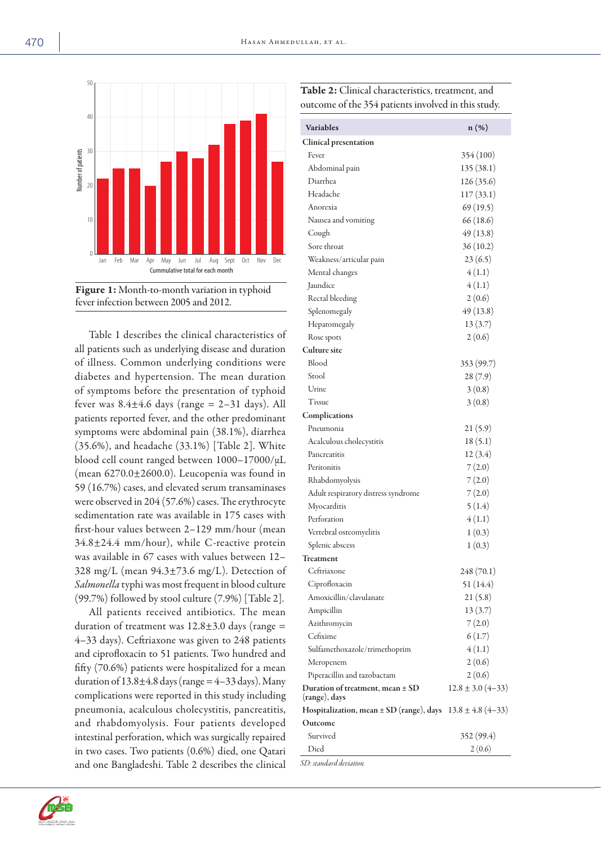



Table 1 describes the clinical characteristics of all patients such as underlying disease and duration of illness. Common underlying conditions were diabetes and hypertension. The mean duration of symptoms before the presentation of typhoid fever was  $8.4 \pm 4.6$  days (range = 2–31 days). All patients reported fever, and the other predominant symptoms were abdominal pain (38.1%), diarrhea (35.6%), and headache (33.1%) [Table 2]. White blood cell count ranged between 1000–17000/µL (mean 6270.0±2600.0). Leucopenia was found in 59 (16.7%) cases, and elevated serum transaminases were observed in 204 (57.6%) cases. The erythrocyte sedimentation rate was available in 175 cases with first-hour values between 2–129 mm/hour (mean  $34.8 \pm 24.4$  mm/hour), while C-reactive protein was available in 67 cases with values between 12– 328 mg/L (mean 94.3±73.6 mg/L). Detection of *Salmonella* typhi was most frequent in blood culture (99.7%) followed by stool culture (7.9%) [Table 2].

All patients received antibiotics. The mean duration of treatment was  $12.8 \pm 3.0$  days (range = 4–33 days). Ceftriaxone was given to 248 patients and ciprofloxacin to 51 patients. Two hundred and fifty (70.6%) patients were hospitalized for a mean duration of  $13.8\pm4.8$  days (range =  $4-33$  days). Many complications were reported in this study including pneumonia, acalculous cholecystitis, pancreatitis, and rhabdomyolysis. Four patients developed intestinal perforation, which was surgically repaired in two cases. Two patients (0.6%) died, one Qatari and one Bangladeshi. Table 2 describes the clinical

| Variables                                                          | $n(\%)$                   |
|--------------------------------------------------------------------|---------------------------|
| Clinical presentation                                              |                           |
| Fever                                                              | 354 (100)                 |
| Abdominal pain                                                     | 135 (38.1)                |
| Diarrhea                                                           | 126 (35.6)                |
| Headache                                                           | 117(33.1)                 |
| Anorexia                                                           | 69(19.5)                  |
| Nausea and vomiting                                                | 66 (18.6)                 |
| Cough                                                              | 49 (13.8)                 |
| Sore throat                                                        | 36(10.2)                  |
| Weakness/articular pain                                            | 23(6.5)                   |
| Mental changes                                                     | 4(1.1)                    |
| Jaundice                                                           | 4(1.1)                    |
| Rectal bleeding                                                    | 2(0.6)                    |
| Splenomegaly                                                       | 49 (13.8)                 |
| Hepatomegaly                                                       | 13(3.7)                   |
| Rose spots                                                         | 2(0.6)                    |
| <b>Culture site</b>                                                |                           |
| Blood                                                              | 353 (99.7)                |
| Stool                                                              | 28 (7.9)                  |
| Urine                                                              | 3(0.8)                    |
| Tissue                                                             | 3(0.8)                    |
| Complications                                                      |                           |
| Pneumonia                                                          | 21(5.9)                   |
| Acalculous cholecystitis                                           | 18(5.1)                   |
| Pancreatitis                                                       | 12(3.4)                   |
| Peritonitis                                                        | 7(2.0)                    |
| Rhabdomyolysis                                                     | 7(2.0)                    |
| Adult respiratory distress syndrome                                | 7(2.0)                    |
| Myocarditis                                                        | 5(1.4)                    |
| Perforation                                                        | 4(1.1)                    |
| Vertebral osteomyelitis                                            | 1(0.3)                    |
| Splenic abscess                                                    | 1(0.3)                    |
| <b>Treatment</b>                                                   |                           |
| Ceftriaxone                                                        | 248 (70.1)                |
| Ciprofloxacin                                                      | 51(14.4)                  |
| Amoxicillin/clavulanate                                            | 21(5.8)                   |
| Ampicillin                                                         | 13(3.7)                   |
| Azithromycin                                                       | 7(2.0)                    |
| Cefixime                                                           | 6(1.7)                    |
| Sulfamethoxazole/trimethoprim                                      | 4(1.1)                    |
| Meropenem                                                          | 2(0.6)                    |
| Piperacillin and tazobactam                                        | 2(0.6)                    |
| Duration of treatment, mean ± SD<br>(range), days                  | $12.8 \pm 3.0 \ (4 - 33)$ |
| Hospitalization, mean $\pm$ SD (range), days 13.8 $\pm$ 4.8 (4–33) |                           |
| Outcome                                                            |                           |
| Survived                                                           | 352 (99.4)                |
| Died                                                               | 2(0.6)                    |



Table 2: Clinical characteristics, treatment, and outcome of the 354 patients involved in this study.

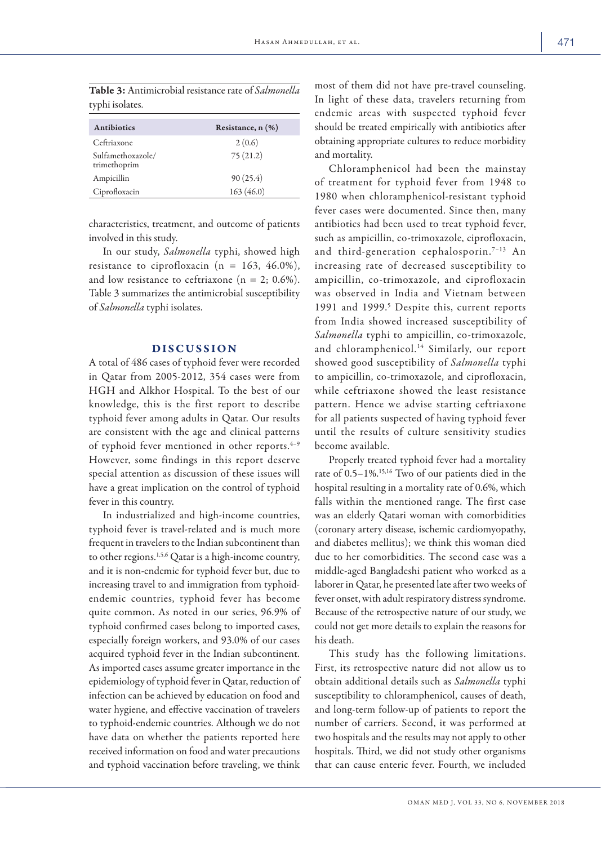| <b>Antibiotics</b>                | Resistance, $n$ $(\%)$ |
|-----------------------------------|------------------------|
| Ceftriaxone                       | 2(0.6)                 |
| Sulfamethoxazole/<br>trimethoprim | 75(21.2)               |
| Ampicillin                        | 90(25.4)               |
| Ciprofloxacin                     | 163(46.0)              |

Table 3: Antimicrobial resistance rate of *Salmonella*  typhi isolates.

characteristics, treatment, and outcome of patients involved in this study.

In our study, *Salmonella* typhi, showed high resistance to ciprofloxacin ( $n = 163, 46.0\%$ ), and low resistance to ceftriaxone ( $n = 2$ ; 0.6%). Table 3 summarizes the antimicrobial susceptibility of *Salmonella* typhi isolates.

## DISCUSSION

A total of 486 cases of typhoid fever were recorded in Qatar from 2005-2012, 354 cases were from HGH and Alkhor Hospital. To the best of our knowledge, this is the first report to describe typhoid fever among adults in Qatar. Our results are consistent with the age and clinical patterns of typhoid fever mentioned in other reports. $4-9$ However, some findings in this report deserve special attention as discussion of these issues will have a great implication on the control of typhoid fever in this country.

In industrialized and high-income countries, typhoid fever is travel-related and is much more frequent in travelers to the Indian subcontinent than to other regions.1,5,6 Qatar is a high-income country, and it is non-endemic for typhoid fever but, due to increasing travel to and immigration from typhoidendemic countries, typhoid fever has become quite common. As noted in our series, 96.9% of typhoid confirmed cases belong to imported cases, especially foreign workers, and 93.0% of our cases acquired typhoid fever in the Indian subcontinent. As imported cases assume greater importance in the epidemiology of typhoid fever in Qatar, reduction of infection can be achieved by education on food and water hygiene, and effective vaccination of travelers to typhoid-endemic countries. Although we do not have data on whether the patients reported here received information on food and water precautions and typhoid vaccination before traveling, we think

most of them did not have pre-travel counseling. In light of these data, travelers returning from endemic areas with suspected typhoid fever should be treated empirically with antibiotics after obtaining appropriate cultures to reduce morbidity and mortality.

Chloramphenicol had been the mainstay of treatment for typhoid fever from 1948 to 1980 when chloramphenicol-resistant typhoid fever cases were documented. Since then, many antibiotics had been used to treat typhoid fever, such as ampicillin, co-trimoxazole, ciprofloxacin, and third-generation cephalosporin.7–13 An increasing rate of decreased susceptibility to ampicillin, co-trimoxazole, and ciprofloxacin was observed in India and Vietnam between 1991 and 1999.<sup>5</sup> Despite this, current reports from India showed increased susceptibility of *Salmonella* typhi to ampicillin, co-trimoxazole, and chloramphenicol.<sup>14</sup> Similarly, our report showed good susceptibility of *Salmonella* typhi to ampicillin, co-trimoxazole, and ciprofloxacin, while ceftriaxone showed the least resistance pattern. Hence we advise starting ceftriaxone for all patients suspected of having typhoid fever until the results of culture sensitivity studies become available.

Properly treated typhoid fever had a mortality rate of 0.5–1%.15,16 Two of our patients died in the hospital resulting in a mortality rate of 0.6%, which falls within the mentioned range. The first case was an elderly Qatari woman with comorbidities (coronary artery disease, ischemic cardiomyopathy, and diabetes mellitus); we think this woman died due to her comorbidities. The second case was a middle-aged Bangladeshi patient who worked as a laborer in Qatar, he presented late after two weeks of fever onset, with adult respiratory distress syndrome. Because of the retrospective nature of our study, we could not get more details to explain the reasons for his death.

This study has the following limitations. First, its retrospective nature did not allow us to obtain additional details such as *Salmonella* typhi susceptibility to chloramphenicol, causes of death, and long-term follow-up of patients to report the number of carriers. Second, it was performed at two hospitals and the results may not apply to other hospitals. Third, we did not study other organisms that can cause enteric fever. Fourth, we included